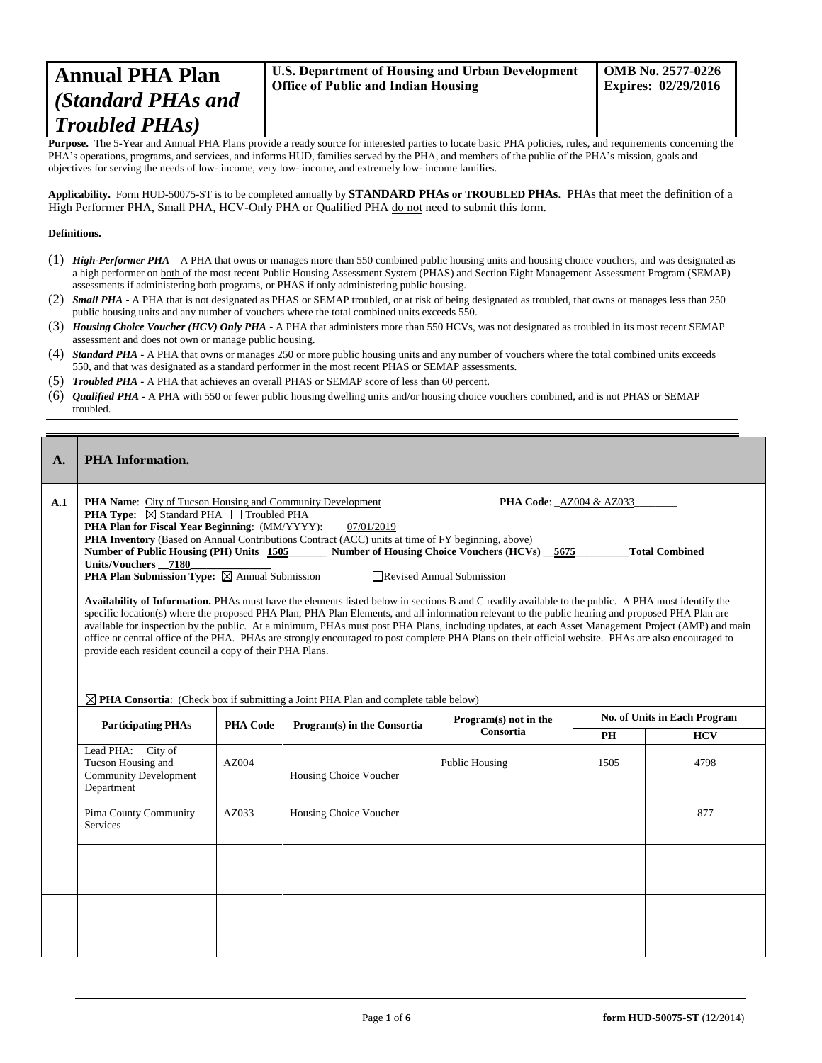## **Annual PHA Plan** *(Standard PHAs and Troubled PHAs)*

Purpose. The 5-Year and Annual PHA Plans provide a ready source for interested parties to locate basic PHA policies, rules, and requirements concerning the PHA's operations, programs, and services, and informs HUD, families served by the PHA, and members of the public of the PHA's mission, goals and objectives for serving the needs of low- income, very low- income, and extremely low- income families.

**Applicability.** Form HUD-50075-ST is to be completed annually by **STANDARD PHAs or TROUBLED PHAs**. PHAs that meet the definition of a High Performer PHA, Small PHA, HCV-Only PHA or Qualified PHA do not need to submit this form.

## **Definitions.**

- (1) *High-Performer PHA* A PHA that owns or manages more than 550 combined public housing units and housing choice vouchers, and was designated as a high performer on both of the most recent Public Housing Assessment System (PHAS) and Section Eight Management Assessment Program (SEMAP) assessments if administering both programs, or PHAS if only administering public housing.
- (2) *Small PHA* A PHA that is not designated as PHAS or SEMAP troubled, or at risk of being designated as troubled, that owns or manages less than 250 public housing units and any number of vouchers where the total combined units exceeds 550.
- (3) *Housing Choice Voucher (HCV) Only PHA* A PHA that administers more than 550 HCVs, was not designated as troubled in its most recent SEMAP assessment and does not own or manage public housing.
- (4) *Standard PHA* A PHA that owns or manages 250 or more public housing units and any number of vouchers where the total combined units exceeds 550, and that was designated as a standard performer in the most recent PHAS or SEMAP assessments.
- (5) *Troubled PHA* **-** A PHA that achieves an overall PHAS or SEMAP score of less than 60 percent.
- (6) *Qualified PHA* A PHA with 550 or fewer public housing dwelling units and/or housing choice vouchers combined, and is not PHAS or SEMAP troubled.

| $\mathbf{A}$ . | <b>PHA</b> Information.                                                               |                                                                                                                                                                                                                                                                                                                                                                                                                                                                                                                                                                                                                                                                                                                                                                                                                                                                                                                                                                                                                                                                                                                                                                                                                                                                                                                                                           |                             |                       |      |                              |
|----------------|---------------------------------------------------------------------------------------|-----------------------------------------------------------------------------------------------------------------------------------------------------------------------------------------------------------------------------------------------------------------------------------------------------------------------------------------------------------------------------------------------------------------------------------------------------------------------------------------------------------------------------------------------------------------------------------------------------------------------------------------------------------------------------------------------------------------------------------------------------------------------------------------------------------------------------------------------------------------------------------------------------------------------------------------------------------------------------------------------------------------------------------------------------------------------------------------------------------------------------------------------------------------------------------------------------------------------------------------------------------------------------------------------------------------------------------------------------------|-----------------------------|-----------------------|------|------------------------------|
| A.1            | Units/Vouchers_7180                                                                   | <b>PHA Name:</b> City of Tucson Housing and Community Development<br><b>PHA Code: AZ004 &amp; AZ033</b><br><b>PHA Type:</b> $\boxtimes$ Standard PHA $\Box$ Troubled PHA<br>PHA Plan for Fiscal Year Beginning: (MM/YYYY): ____07/01/2019<br>PHA Inventory (Based on Annual Contributions Contract (ACC) units at time of FY beginning, above)<br>Number of Public Housing (PH) Units 1505<br>Number of Housing Choice Vouchers (HCVs) 5675<br><b>Total Combined</b><br><b>PHA Plan Submission Type:</b> $\boxtimes$ Annual Submission<br>Revised Annual Submission<br>Availability of Information. PHAs must have the elements listed below in sections B and C readily available to the public. A PHA must identify the<br>specific location(s) where the proposed PHA Plan, PHA Plan Elements, and all information relevant to the public hearing and proposed PHA Plan are<br>available for inspection by the public. At a minimum, PHAs must post PHA Plans, including updates, at each Asset Management Project (AMP) and main<br>office or central office of the PHA. PHAs are strongly encouraged to post complete PHA Plans on their official website. PHAs are also encouraged to<br>provide each resident council a copy of their PHA Plans.<br>$\boxtimes$ PHA Consortia: (Check box if submitting a Joint PHA Plan and complete table below) |                             |                       |      |                              |
|                | <b>Participating PHAs</b>                                                             | <b>PHA Code</b>                                                                                                                                                                                                                                                                                                                                                                                                                                                                                                                                                                                                                                                                                                                                                                                                                                                                                                                                                                                                                                                                                                                                                                                                                                                                                                                                           | Program(s) in the Consortia | Program(s) not in the |      | No. of Units in Each Program |
|                |                                                                                       |                                                                                                                                                                                                                                                                                                                                                                                                                                                                                                                                                                                                                                                                                                                                                                                                                                                                                                                                                                                                                                                                                                                                                                                                                                                                                                                                                           |                             | Consortia             | PH   | <b>HCV</b>                   |
|                | Lead PHA: City of<br>Tucson Housing and<br><b>Community Development</b><br>Department | AZ004                                                                                                                                                                                                                                                                                                                                                                                                                                                                                                                                                                                                                                                                                                                                                                                                                                                                                                                                                                                                                                                                                                                                                                                                                                                                                                                                                     | Housing Choice Voucher      | Public Housing        | 1505 | 4798                         |
|                | Pima County Community<br><b>Services</b>                                              | AZ033                                                                                                                                                                                                                                                                                                                                                                                                                                                                                                                                                                                                                                                                                                                                                                                                                                                                                                                                                                                                                                                                                                                                                                                                                                                                                                                                                     | Housing Choice Voucher      |                       |      | 877                          |
|                |                                                                                       |                                                                                                                                                                                                                                                                                                                                                                                                                                                                                                                                                                                                                                                                                                                                                                                                                                                                                                                                                                                                                                                                                                                                                                                                                                                                                                                                                           |                             |                       |      |                              |
|                |                                                                                       |                                                                                                                                                                                                                                                                                                                                                                                                                                                                                                                                                                                                                                                                                                                                                                                                                                                                                                                                                                                                                                                                                                                                                                                                                                                                                                                                                           |                             |                       |      |                              |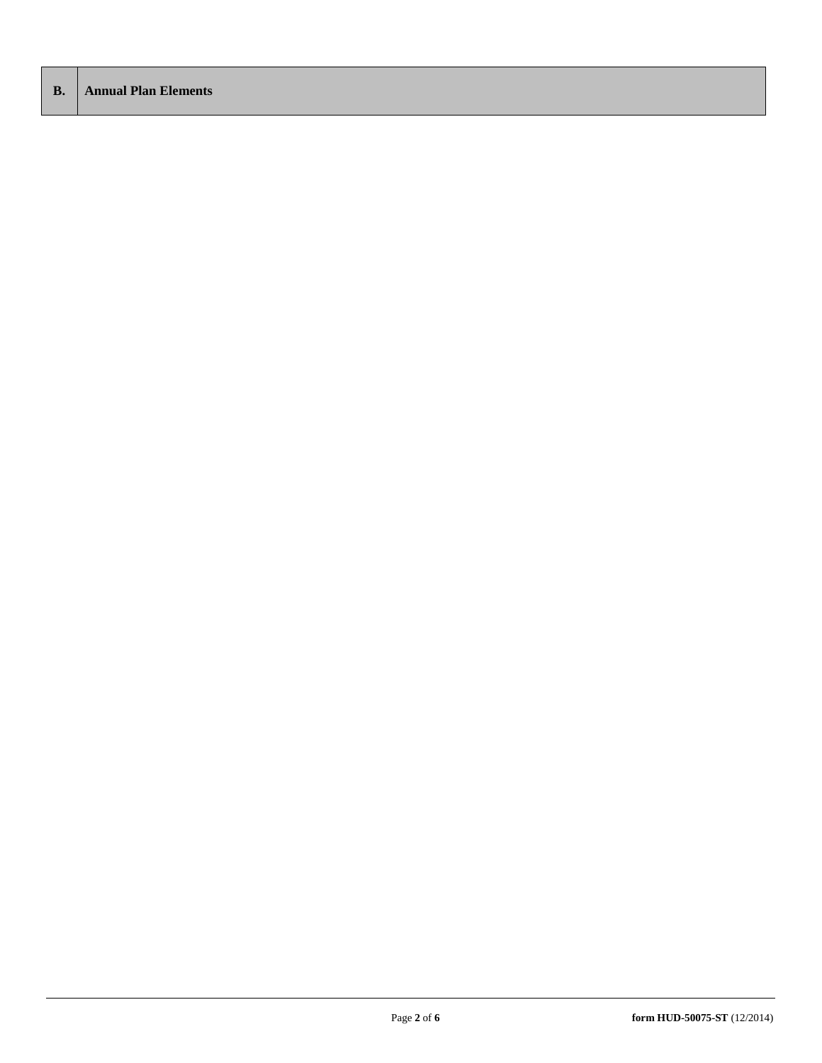| <b>B.</b>   Annual Plan Elements |  |
|----------------------------------|--|
|                                  |  |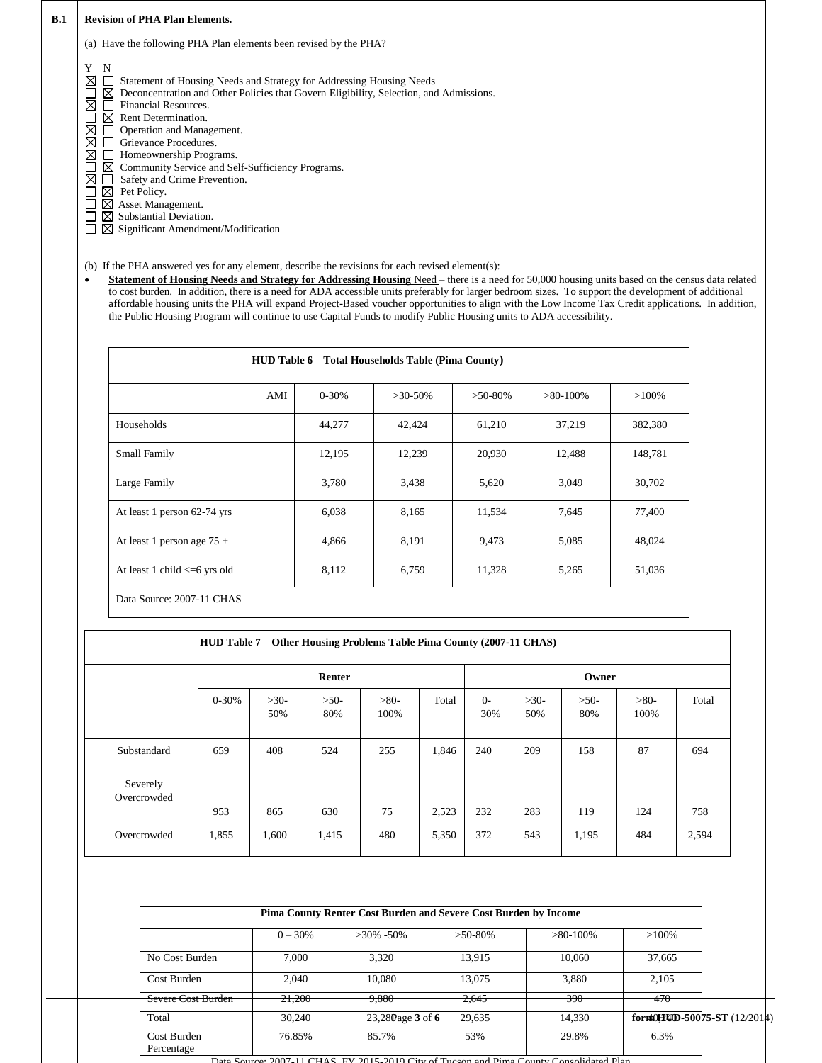| <b>B.1</b> | <b>Revision of PHA Plan Elements.</b>                                                                                                                                                                                                                                                                                                                                                                                                                                                                                                 |
|------------|---------------------------------------------------------------------------------------------------------------------------------------------------------------------------------------------------------------------------------------------------------------------------------------------------------------------------------------------------------------------------------------------------------------------------------------------------------------------------------------------------------------------------------------|
|            | Have the following PHA Plan elements been revised by the PHA?<br>(a)                                                                                                                                                                                                                                                                                                                                                                                                                                                                  |
|            | Y<br>N<br>⋈<br>Statement of Housing Needs and Strategy for Addressing Housing Needs<br>Deconcentration and Other Policies that Govern Eligibility, Selection, and Admissions.<br>⊠<br>Financial Resources.<br>⋉<br>Rent Determination.<br>IХI<br>⋉<br>Operation and Management.<br>⊠<br>Grievance Procedures.<br>⋉<br>Homeownership Programs.<br>Community Service and Self-Sufficiency Programs.<br>Safety and Crime Prevention.<br>Pet Policy.<br>Asset Management.<br>Substantial Deviation.<br>Significant Amendment/Modification |

(b) If the PHA answered yes for any element, describe the revisions for each revised element(s):

**Statement of Housing Needs and Strategy for Addressing Housing** Need – there is a need for 50,000 housing units based on the census data related to cost burden. In addition, there is a need for ADA accessible units preferably for larger bedroom sizes. To support the development of additional affordable housing units the PHA will expand Project-Based voucher opportunities to align with the Low Income Tax Credit applications. In addition, the Public Housing Program will continue to use Capital Funds to modify Public Housing units to ADA accessibility.

|                                     |           | <b>HUD Table 6 - Total Households Table (Pima County)</b> |           |             |          |
|-------------------------------------|-----------|-----------------------------------------------------------|-----------|-------------|----------|
| AMI                                 | $0 - 30%$ | $>30-50\%$                                                | $>50-80%$ | $>80-100\%$ | $>100\%$ |
| Households                          | 44,277    | 42,424                                                    | 61,210    | 37,219      | 382,380  |
| Small Family                        | 12,195    | 12,239                                                    | 20,930    | 12,488      | 148,781  |
| Large Family                        | 3,780     | 3,438                                                     | 5,620     | 3,049       | 30,702   |
| At least 1 person 62-74 yrs         | 6,038     | 8,165                                                     | 11,534    | 7,645       | 77,400   |
| At least 1 person age $75 +$        | 4,866     | 8,191                                                     | 9,473     | 5,085       | 48,024   |
| At least 1 child $\leq$ 0.6 yrs old | 8,112     | 6,759                                                     | 11,328    | 5,265       | 51,036   |
| Data Source: 2007-11 CHAS           |           |                                                           |           |             |          |

| HUD Table 7 – Other Housing Problems Table Pima County (2007-11 CHAS) |           |               |               |                |       |             |               |               |                |       |
|-----------------------------------------------------------------------|-----------|---------------|---------------|----------------|-------|-------------|---------------|---------------|----------------|-------|
|                                                                       |           | Renter        |               |                |       | Owner       |               |               |                |       |
|                                                                       | $0 - 30%$ | $>30-$<br>50% | $>50-$<br>80% | $>80-$<br>100% | Total | $0-$<br>30% | $>30-$<br>50% | $>50-$<br>80% | $>80-$<br>100% | Total |
| Substandard                                                           | 659       | 408           | 524           | 255            | 1,846 | 240         | 209           | 158           | 87             | 694   |
| Severely<br>Overcrowded                                               | 953       | 865           | 630           | 75             | 2,523 | 232         | 283           | 119           | 124            | 758   |
| Overcrowded                                                           | 1,855     | 1,600         | 1,415         | 480            | 5,350 | 372         | 543           | 1,195         | 484            | 2,594 |

|                           |            |                     | Pima County Renter Cost Burden and Severe Cost Burden by Income                         |             |                             |  |
|---------------------------|------------|---------------------|-----------------------------------------------------------------------------------------|-------------|-----------------------------|--|
|                           | $0 - 30\%$ | $>30\% - 50\%$      | $>50-80\%$                                                                              | $>80-100\%$ | $>100\%$                    |  |
| No Cost Burden            | 7.000      | 3.320               | 13.915                                                                                  | 10,060      | 37,665                      |  |
| Cost Burden               | 2.040      | 10.080              | 13.075                                                                                  | 3.880       | 2.105                       |  |
| Severe Cost Burden        | 21,200     | 9,880               | 2,645                                                                                   | 390         | 470                         |  |
| Total                     | 30,240     | $23,280$ age 3 of 6 | 29,635                                                                                  | 14,330      | form0HHD-50075-ST (12/2014) |  |
| Cost Burden<br>Percentage | 76.85%     | 85.7%               | 53%                                                                                     | 29.8%       | 6.3%                        |  |
|                           |            |                     | Data Source: 2007-11 CHAS EV 2015-2019 City of Tucson and Pima County Consolidated Plan |             |                             |  |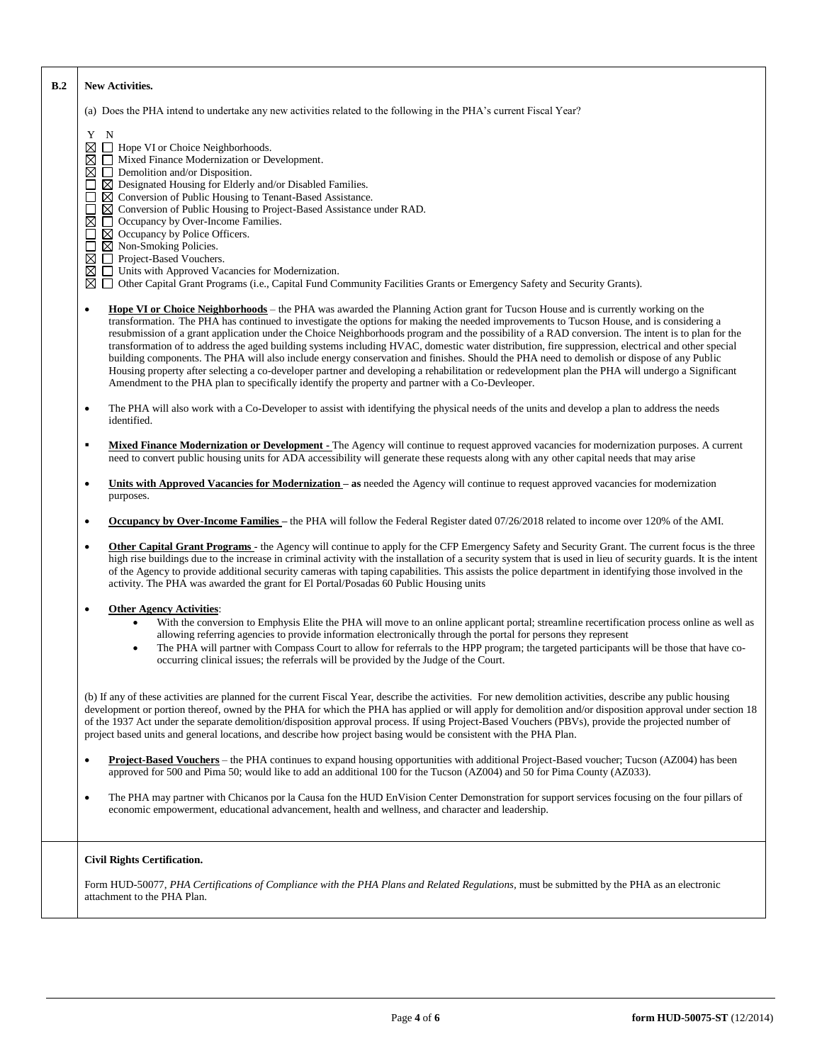| B.2 | <b>New Activities.</b>                                                                                                                                                                                                                                                                                                                                                                                                                                                                                                                                                                                                                                                                                                                                                                                                                                                                                                                                                                                     |
|-----|------------------------------------------------------------------------------------------------------------------------------------------------------------------------------------------------------------------------------------------------------------------------------------------------------------------------------------------------------------------------------------------------------------------------------------------------------------------------------------------------------------------------------------------------------------------------------------------------------------------------------------------------------------------------------------------------------------------------------------------------------------------------------------------------------------------------------------------------------------------------------------------------------------------------------------------------------------------------------------------------------------|
|     | (a) Does the PHA intend to undertake any new activities related to the following in the PHA's current Fiscal Year?                                                                                                                                                                                                                                                                                                                                                                                                                                                                                                                                                                                                                                                                                                                                                                                                                                                                                         |
|     | Y N<br>$\boxtimes \square$ Hope VI or Choice Neighborhoods.<br>⊠<br>Mixed Finance Modernization or Development.<br>$\Box$ Demolition and/or Disposition.<br>⊠<br>$\boxtimes$ Designated Housing for Elderly and/or Disabled Families.<br>П<br>$\boxtimes$ Conversion of Public Housing to Tenant-Based Assistance.<br>П<br>$\boxtimes$ Conversion of Public Housing to Project-Based Assistance under RAD.<br>⊠<br>□ Occupancy by Over-Income Families.<br>⊠ Occupancy by Police Officers.<br>$\Box$<br>$\boxtimes$ Non-Smoking Policies.<br>Ш<br>Project-Based Vouchers.<br>⊠<br>□ Units with Approved Vacancies for Modernization.<br>⊠<br>Other Capital Grant Programs (i.e., Capital Fund Community Facilities Grants or Emergency Safety and Security Grants).<br>⊠                                                                                                                                                                                                                                   |
|     | Hope VI or Choice Neighborhoods – the PHA was awarded the Planning Action grant for Tucson House and is currently working on the<br>$\bullet$<br>transformation. The PHA has continued to investigate the options for making the needed improvements to Tucson House, and is considering a<br>resubmission of a grant application under the Choice Neighborhoods program and the possibility of a RAD conversion. The intent is to plan for the<br>transformation of to address the aged building systems including HVAC, domestic water distribution, fire suppression, electrical and other special<br>building components. The PHA will also include energy conservation and finishes. Should the PHA need to demolish or dispose of any Public<br>Housing property after selecting a co-developer partner and developing a rehabilitation or redevelopment plan the PHA will undergo a Significant<br>Amendment to the PHA plan to specifically identify the property and partner with a Co-Devleoper. |
|     | The PHA will also work with a Co-Developer to assist with identifying the physical needs of the units and develop a plan to address the needs<br>$\bullet$<br>identified.                                                                                                                                                                                                                                                                                                                                                                                                                                                                                                                                                                                                                                                                                                                                                                                                                                  |
|     | Mixed Finance Modernization or Development - The Agency will continue to request approved vacancies for modernization purposes. A current<br>$\blacksquare$<br>need to convert public housing units for ADA accessibility will generate these requests along with any other capital needs that may arise                                                                                                                                                                                                                                                                                                                                                                                                                                                                                                                                                                                                                                                                                                   |
|     | Units with Approved Vacancies for Modernization – as needed the Agency will continue to request approved vacancies for modernization<br>$\bullet$<br>purposes.                                                                                                                                                                                                                                                                                                                                                                                                                                                                                                                                                                                                                                                                                                                                                                                                                                             |
|     | <b>Occupancy by Over-Income Families</b> – the PHA will follow the Federal Register dated 07/26/2018 related to income over 120% of the AMI.<br>$\bullet$                                                                                                                                                                                                                                                                                                                                                                                                                                                                                                                                                                                                                                                                                                                                                                                                                                                  |
|     | Other Capital Grant Programs - the Agency will continue to apply for the CFP Emergency Safety and Security Grant. The current focus is the three<br>$\bullet$<br>high rise buildings due to the increase in criminal activity with the installation of a security system that is used in lieu of security guards. It is the intent<br>of the Agency to provide additional security cameras with taping capabilities. This assists the police department in identifying those involved in the<br>activity. The PHA was awarded the grant for El Portal/Posadas 60 Public Housing units                                                                                                                                                                                                                                                                                                                                                                                                                      |
|     | <b>Other Agency Activities:</b><br>$\bullet$<br>With the conversion to Emphysis Elite the PHA will move to an online applicant portal; streamline recertification process online as well as<br>allowing referring agencies to provide information electronically through the portal for persons they represent<br>The PHA will partner with Compass Court to allow for referrals to the HPP program; the targeted participants will be those that have co-<br>occurring clinical issues; the referrals will be provided by the Judge of the Court.                                                                                                                                                                                                                                                                                                                                                                                                                                                         |
|     | (b) If any of these activities are planned for the current Fiscal Year, describe the activities. For new demolition activities, describe any public housing<br>development or portion thereof, owned by the PHA for which the PHA has applied or will apply for demolition and/or disposition approval under section 18<br>of the 1937 Act under the separate demolition/disposition approval process. If using Project-Based Vouchers (PBVs), provide the projected number of<br>project based units and general locations, and describe how project basing would be consistent with the PHA Plan.                                                                                                                                                                                                                                                                                                                                                                                                        |
|     | <b>Project-Based Vouchers</b> – the PHA continues to expand housing opportunities with additional Project-Based voucher; Tucson (AZ004) has been<br>$\bullet$<br>approved for 500 and Pima 50; would like to add an additional 100 for the Tucson (AZ004) and 50 for Pima County (AZ033).                                                                                                                                                                                                                                                                                                                                                                                                                                                                                                                                                                                                                                                                                                                  |
|     | The PHA may partner with Chicanos por la Causa fon the HUD EnVision Center Demonstration for support services focusing on the four pillars of<br>$\bullet$<br>economic empowerment, educational advancement, health and wellness, and character and leadership.                                                                                                                                                                                                                                                                                                                                                                                                                                                                                                                                                                                                                                                                                                                                            |
|     | <b>Civil Rights Certification.</b>                                                                                                                                                                                                                                                                                                                                                                                                                                                                                                                                                                                                                                                                                                                                                                                                                                                                                                                                                                         |
|     | Form HUD-50077, PHA Certifications of Compliance with the PHA Plans and Related Regulations, must be submitted by the PHA as an electronic<br>attachment to the PHA Plan.                                                                                                                                                                                                                                                                                                                                                                                                                                                                                                                                                                                                                                                                                                                                                                                                                                  |

- 1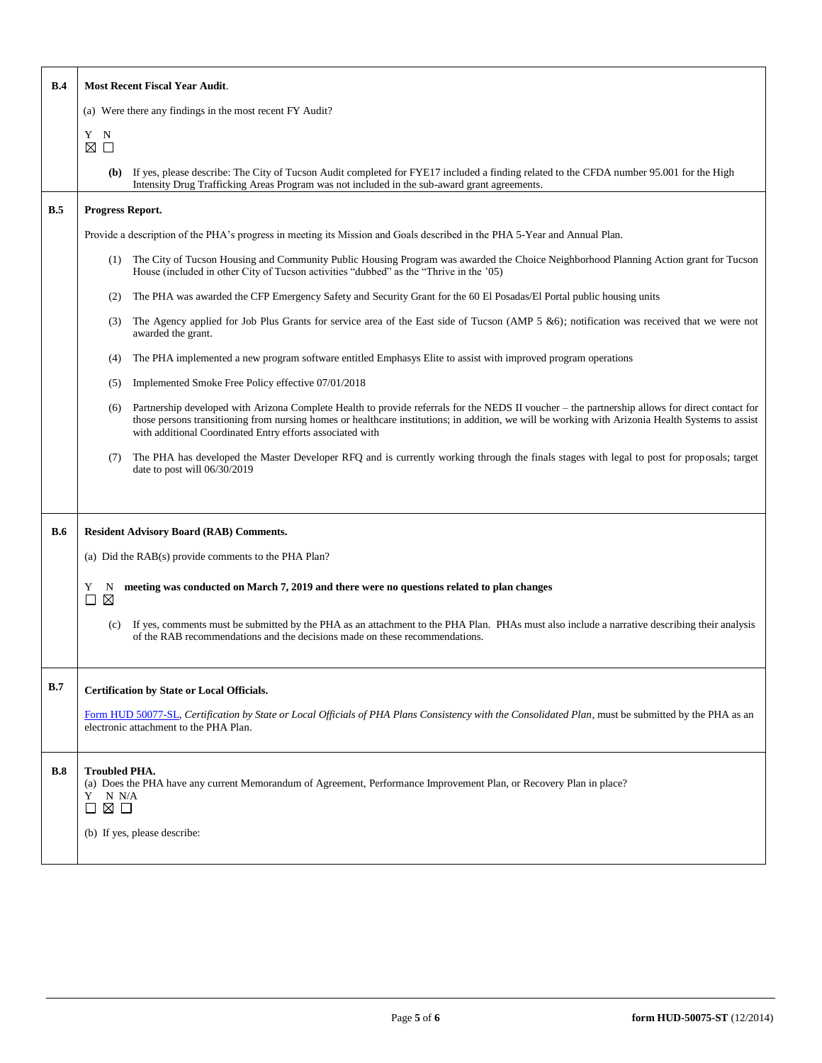| B.4        | <b>Most Recent Fiscal Year Audit.</b>                                                                                                                                                                                                                                                                                                                                    |  |  |  |  |  |  |
|------------|--------------------------------------------------------------------------------------------------------------------------------------------------------------------------------------------------------------------------------------------------------------------------------------------------------------------------------------------------------------------------|--|--|--|--|--|--|
|            | (a) Were there any findings in the most recent FY Audit?                                                                                                                                                                                                                                                                                                                 |  |  |  |  |  |  |
|            | Y N<br>⊠ □                                                                                                                                                                                                                                                                                                                                                               |  |  |  |  |  |  |
|            | If yes, please describe: The City of Tucson Audit completed for FYE17 included a finding related to the CFDA number 95.001 for the High<br>(b)<br>Intensity Drug Trafficking Areas Program was not included in the sub-award grant agreements.                                                                                                                           |  |  |  |  |  |  |
| B.5        | Progress Report.                                                                                                                                                                                                                                                                                                                                                         |  |  |  |  |  |  |
|            | Provide a description of the PHA's progress in meeting its Mission and Goals described in the PHA 5-Year and Annual Plan.                                                                                                                                                                                                                                                |  |  |  |  |  |  |
|            | The City of Tucson Housing and Community Public Housing Program was awarded the Choice Neighborhood Planning Action grant for Tucson<br>(1)<br>House (included in other City of Tucson activities "dubbed" as the "Thrive in the '05)                                                                                                                                    |  |  |  |  |  |  |
|            | The PHA was awarded the CFP Emergency Safety and Security Grant for the 60 El Posadas/El Portal public housing units<br>(2)                                                                                                                                                                                                                                              |  |  |  |  |  |  |
|            | The Agency applied for Job Plus Grants for service area of the East side of Tucson (AMP 5 &6); notification was received that we were not<br>(3)<br>awarded the grant.                                                                                                                                                                                                   |  |  |  |  |  |  |
|            | The PHA implemented a new program software entitled Emphasys Elite to assist with improved program operations<br>(4)                                                                                                                                                                                                                                                     |  |  |  |  |  |  |
|            | Implemented Smoke Free Policy effective 07/01/2018<br>(5)                                                                                                                                                                                                                                                                                                                |  |  |  |  |  |  |
|            | Partnership developed with Arizona Complete Health to provide referrals for the NEDS II voucher - the partnership allows for direct contact for<br>(6)<br>those persons transitioning from nursing homes or healthcare institutions; in addition, we will be working with Arizonia Health Systems to assist<br>with additional Coordinated Entry efforts associated with |  |  |  |  |  |  |
|            | The PHA has developed the Master Developer RFQ and is currently working through the finals stages with legal to post for proposals; target<br>(7)<br>date to post will 06/30/2019                                                                                                                                                                                        |  |  |  |  |  |  |
|            |                                                                                                                                                                                                                                                                                                                                                                          |  |  |  |  |  |  |
| <b>B.6</b> | <b>Resident Advisory Board (RAB) Comments.</b>                                                                                                                                                                                                                                                                                                                           |  |  |  |  |  |  |
|            | (a) Did the RAB(s) provide comments to the PHA Plan?                                                                                                                                                                                                                                                                                                                     |  |  |  |  |  |  |
|            | meeting was conducted on March 7, 2019 and there were no questions related to plan changes<br>Y<br>N<br>$\boxtimes$<br>□                                                                                                                                                                                                                                                 |  |  |  |  |  |  |
|            | If yes, comments must be submitted by the PHA as an attachment to the PHA Plan. PHAs must also include a narrative describing their analysis<br>(c)<br>of the RAB recommendations and the decisions made on these recommendations.                                                                                                                                       |  |  |  |  |  |  |
| B.7        | <b>Certification by State or Local Officials.</b>                                                                                                                                                                                                                                                                                                                        |  |  |  |  |  |  |
|            | Form HUD 50077-SL, Certification by State or Local Officials of PHA Plans Consistency with the Consolidated Plan, must be submitted by the PHA as an<br>electronic attachment to the PHA Plan.                                                                                                                                                                           |  |  |  |  |  |  |
| B.8        | <b>Troubled PHA.</b><br>(a) Does the PHA have any current Memorandum of Agreement, Performance Improvement Plan, or Recovery Plan in place?<br>Y<br>N N/A<br>⊠ □<br>$\Box$                                                                                                                                                                                               |  |  |  |  |  |  |
|            | (b) If yes, please describe:                                                                                                                                                                                                                                                                                                                                             |  |  |  |  |  |  |